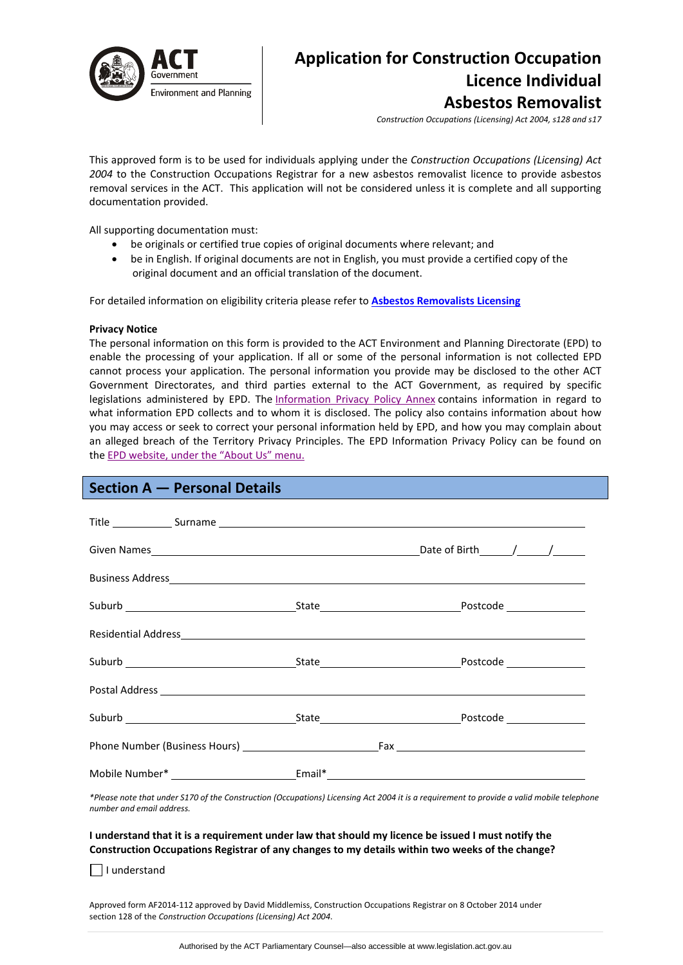

# **Application for Construction Occupation Licence Individual Asbestos Removalist**

*Construction Occupations (Licensing) Act 2004, s128 and s17*

This approved form is to be used for individuals applying under the *Construction Occupations (Licensing) Act 2004* to the Construction Occupations Registrar for a new asbestos removalist licence to provide asbestos removal services in the ACT. This application will not be considered unless it is complete and all supporting documentation provided.

All supporting documentation must:

- be originals or certified true copies of original documents where relevant; and
- be in English. If original documents are not in English, you must provide a certified copy of the original document and an official translation of the document.

For detailed information on eligibility criteria please refer to **Asbestos [Removalists](http://www.actpla.act.gov.au/topics/hiring_licensing/licence_registration/asbestos_removalists) Licensing**

### **Privacy Notice**

The personal information on this form is provided to the ACT Environment and Planning Directorate (EPD) to enable the processing of your application. If all or some of the personal information is not collected EPD cannot process your application. The personal information you provide may be disclosed to the other ACT Government Directorates, and third parties external to the ACT Government, as required by specific legislations administered by EPD. The [Information](http://www.environment.act.gov.au/__data/assets/pdf_file/0006/633741/Information-Privacy-Policy-Annex.pdf) Privacy Policy Annex contains information in regard to what information EPD collects and to whom it is disclosed. The policy also contains information about how you may access or seek to correct your personal information held by EPD, and how you may complain about an alleged breach of the Territory Privacy Principles. The EPD Information Privacy Policy can be found on the EPD [website,](http://www.environment.act.gov.au/about/privacy) under the "About Us" menu.

### **Section A — Personal Details**

\*Please note that under S170 of the Construction (Occupations) Licensing Act 2004 it is a requirement to provide a valid mobile telephone *number and email address.* 

### I understand that it is a requirement under law that should my licence be issued I must notify the **Construction Occupations Registrar of any changes to my details within two weeks of the change?**

 $\Box$  I understand

Approved form AF2014‐112 approved by David Middlemiss, Construction Occupations Registrar on 8 October 2014 under section 128 of the *Construction Occupations (Licensing) Act 2004*.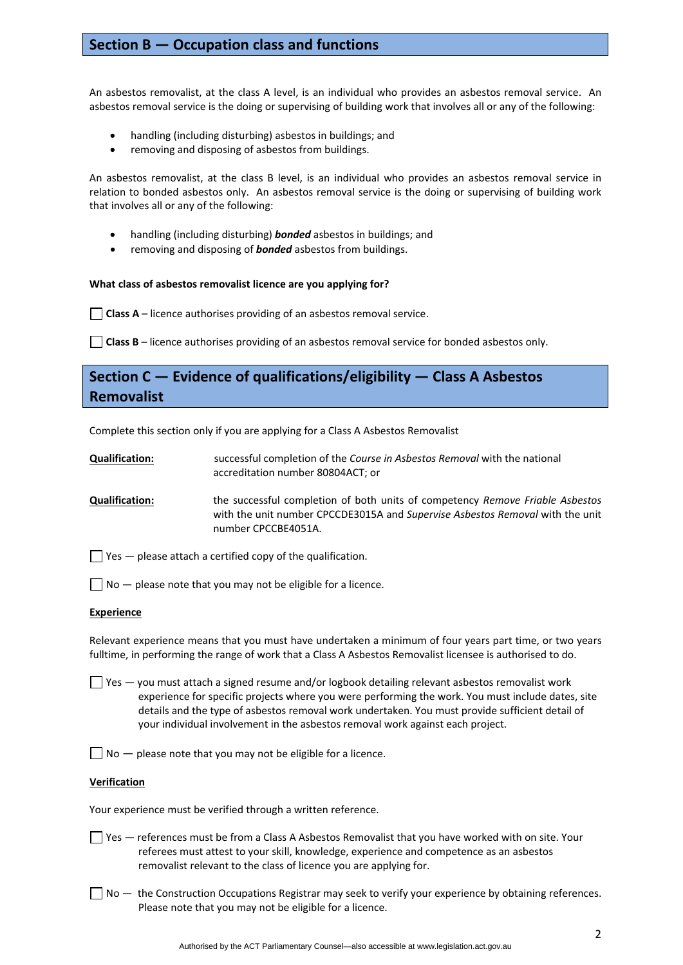### **Section B — Occupation class and functions**

An asbestos removalist, at the class A level, is an individual who provides an asbestos removal service. An asbestos removal service is the doing or supervising of building work that involves all or any of the following:

- handling (including disturbing) asbestos in buildings; and
- removing and disposing of asbestos from buildings.

An asbestos removalist, at the class B level, is an individual who provides an asbestos removal service in relation to bonded asbestos only. An asbestos removal service is the doing or supervising of building work that involves all or any of the following:

- handling (including disturbing) *bonded* asbestos in buildings; and
- removing and disposing of *bonded* asbestos from buildings.

### **What class of asbestos removalist licence are you applying for?**

**Class A** – licence authorises providing of an asbestos removal service.

**Class B** – licence authorises providing of an asbestos removal service for bonded asbestos only.

## **Section C — Evidence of qualifications/eligibility — Class A Asbestos Removalist**

Complete this section only if you are applying for a Class A Asbestos Removalist

- **Qualification:** successful completion of the *Course in Asbestos Removal* with the national accreditation number 80804ACT; or
- **Qualification:** the successful completion of both units of competency *Remove Friable Asbestos* with the unit number CPCCDE3015A and *Supervise Asbestos Removal* with the unit number CPCCBE4051A.

 $\Box$  Yes  $-$  please attach a certified copy of the qualification.

 $\vert \ \vert$  No — please note that you may not be eligible for a licence.

### **Experience**

Relevant experience means that you must have undertaken a minimum of four years part time, or two years fulltime, in performing the range of work that a Class A Asbestos Removalist licensee is authorised to do.

 $\Box$  Yes  $-$  you must attach a signed resume and/or logbook detailing relevant asbestos removalist work experience for specific projects where you were performing the work. You must include dates, site details and the type of asbestos removal work undertaken. You must provide sufficient detail of your individual involvement in the asbestos removal work against each project.

 $\Box$  No  $-$  please note that you may not be eligible for a licence.

### **Verification**

Your experience must be verified through a written reference.

- Yes references must be from a Class A Asbestos Removalist that you have worked with on site. Your referees must attest to your skill, knowledge, experience and competence as an asbestos removalist relevant to the class of licence you are applying for.
- $\Box$  No  $-$  the Construction Occupations Registrar may seek to verify your experience by obtaining references. Please note that you may not be eligible for a licence.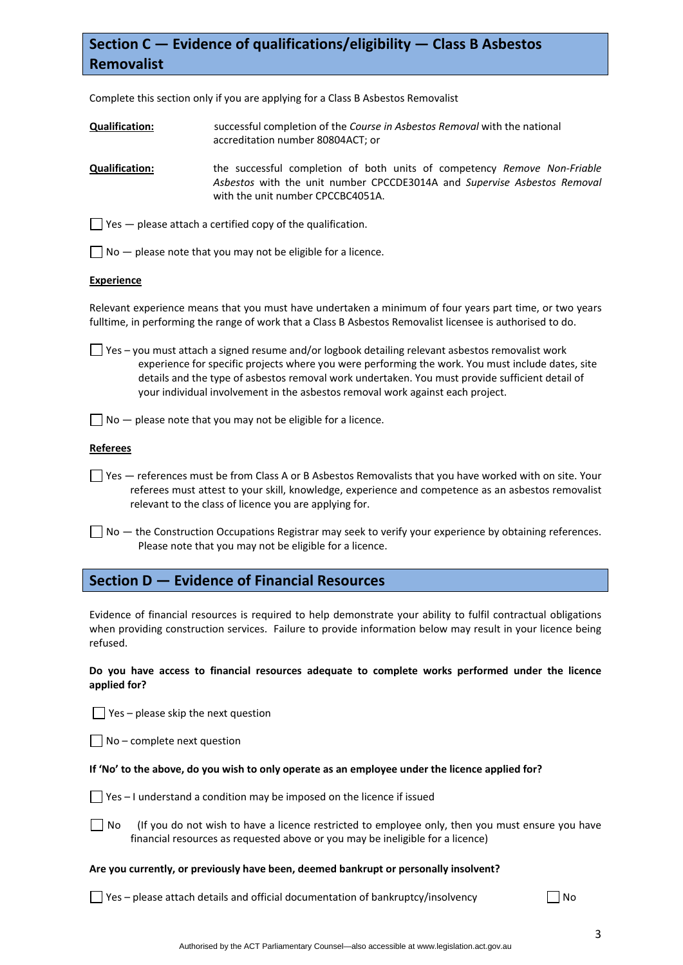# **Section C — Evidence of qualifications/eligibility — Class B Asbestos Removalist**

Complete this section only if you are applying for a Class B Asbestos Removalist

- **Qualification:** successful completion of the *Course in Asbestos Removal* with the national accreditation number 80804ACT; or
- **Qualification:** the successful completion of both units of competency *Remove Non‐Friable Asbestos* with the unit number CPCCDE3014A and *Supervise Asbestos Removal* with the unit number CPCCBC4051A.

 $\Box$  Yes  $-$  please attach a certified copy of the qualification.

 $\Box$  No  $-$  please note that you may not be eligible for a licence.

### **Experience**

Relevant experience means that you must have undertaken a minimum of four years part time, or two years fulltime, in performing the range of work that a Class B Asbestos Removalist licensee is authorised to do.

 $\Box$  Yes – you must attach a signed resume and/or logbook detailing relevant asbestos removalist work experience for specific projects where you were performing the work. You must include dates, site details and the type of asbestos removal work undertaken. You must provide sufficient detail of your individual involvement in the asbestos removal work against each project.

 $\Box$  No  $-$  please note that you may not be eligible for a licence.

### **Referees**

- $\Box$  Yes references must be from Class A or B Asbestos Removalists that you have worked with on site. Your referees must attest to your skill, knowledge, experience and competence as an asbestos removalist relevant to the class of licence you are applying for.
- No the Construction Occupations Registrar may seek to verify your experience by obtaining references. Please note that you may not be eligible for a licence.

### **Section D — Evidence of Financial Resources**

Evidence of financial resources is required to help demonstrate your ability to fulfil contractual obligations when providing construction services. Failure to provide information below may result in your licence being refused.

### **Do you have access to financial resources adequate to complete works performed under the licence applied for?**

 $\Box$  Yes – please skip the next question

 $\Box$  No – complete next question

### If 'No' to the above, do you wish to only operate as an employee under the licence applied for?

- $\Box$  Yes I understand a condition may be imposed on the licence if issued
- $\Box$  No (If you do not wish to have a licence restricted to employee only, then you must ensure you have financial resources as requested above or you may be ineligible for a licence)

### **Are you currently, or previously have been, deemed bankrupt or personally insolvent?**

 $\Box$  Yes – please attach details and official documentation of bankruptcy/insolvency  $\Box$  No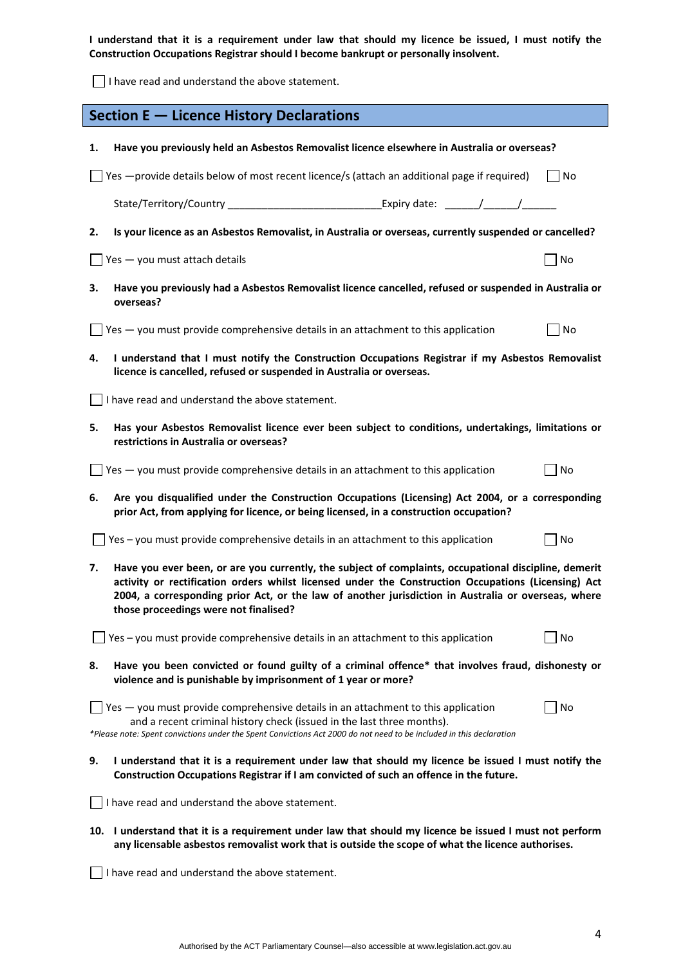I understand that it is a requirement under law that should my licence be issued, I must notify the **Construction Occupations Registrar should I become bankrupt or personally insolvent.** 

I have read and understand the above statement.

|                                                                                                                                                                                                                                                                                                                                                                    | Section E - Licence History Declarations                                                                                                                                                                                                                                                        |       |  |  |  |
|--------------------------------------------------------------------------------------------------------------------------------------------------------------------------------------------------------------------------------------------------------------------------------------------------------------------------------------------------------------------|-------------------------------------------------------------------------------------------------------------------------------------------------------------------------------------------------------------------------------------------------------------------------------------------------|-------|--|--|--|
| 1.                                                                                                                                                                                                                                                                                                                                                                 | Have you previously held an Asbestos Removalist licence elsewhere in Australia or overseas?                                                                                                                                                                                                     |       |  |  |  |
|                                                                                                                                                                                                                                                                                                                                                                    | Yes -provide details below of most recent licence/s (attach an additional page if required)                                                                                                                                                                                                     | l INo |  |  |  |
|                                                                                                                                                                                                                                                                                                                                                                    | State/Territory/Country                                                                                                                                                                                                                                                                         |       |  |  |  |
| 2.                                                                                                                                                                                                                                                                                                                                                                 | Is your licence as an Asbestos Removalist, in Australia or overseas, currently suspended or cancelled?                                                                                                                                                                                          |       |  |  |  |
|                                                                                                                                                                                                                                                                                                                                                                    | Yes - you must attach details                                                                                                                                                                                                                                                                   | No    |  |  |  |
| з.                                                                                                                                                                                                                                                                                                                                                                 | Have you previously had a Asbestos Removalist licence cancelled, refused or suspended in Australia or<br>overseas?                                                                                                                                                                              |       |  |  |  |
|                                                                                                                                                                                                                                                                                                                                                                    | $\Box$ Yes $-$ you must provide comprehensive details in an attachment to this application                                                                                                                                                                                                      | No    |  |  |  |
| I understand that I must notify the Construction Occupations Registrar if my Asbestos Removalist<br>4.<br>licence is cancelled, refused or suspended in Australia or overseas.                                                                                                                                                                                     |                                                                                                                                                                                                                                                                                                 |       |  |  |  |
|                                                                                                                                                                                                                                                                                                                                                                    | $\Box$ I have read and understand the above statement.                                                                                                                                                                                                                                          |       |  |  |  |
| 5.                                                                                                                                                                                                                                                                                                                                                                 | Has your Asbestos Removalist licence ever been subject to conditions, undertakings, limitations or<br>restrictions in Australia or overseas?                                                                                                                                                    |       |  |  |  |
|                                                                                                                                                                                                                                                                                                                                                                    | $\Box$ Yes $-$ you must provide comprehensive details in an attachment to this application                                                                                                                                                                                                      | No    |  |  |  |
| 6.                                                                                                                                                                                                                                                                                                                                                                 | Are you disqualified under the Construction Occupations (Licensing) Act 2004, or a corresponding<br>prior Act, from applying for licence, or being licensed, in a construction occupation?                                                                                                      |       |  |  |  |
|                                                                                                                                                                                                                                                                                                                                                                    | Yes - you must provide comprehensive details in an attachment to this application                                                                                                                                                                                                               | No    |  |  |  |
| Have you ever been, or are you currently, the subject of complaints, occupational discipline, demerit<br>7.<br>activity or rectification orders whilst licensed under the Construction Occupations (Licensing) Act<br>2004, a corresponding prior Act, or the law of another jurisdiction in Australia or overseas, where<br>those proceedings were not finalised? |                                                                                                                                                                                                                                                                                                 |       |  |  |  |
|                                                                                                                                                                                                                                                                                                                                                                    | Yes – you must provide comprehensive details in an attachment to this application                                                                                                                                                                                                               | No    |  |  |  |
| 8.                                                                                                                                                                                                                                                                                                                                                                 | Have you been convicted or found guilty of a criminal offence* that involves fraud, dishonesty or<br>violence and is punishable by imprisonment of 1 year or more?                                                                                                                              |       |  |  |  |
|                                                                                                                                                                                                                                                                                                                                                                    | $\sqrt{1}$ Yes $-$ you must provide comprehensive details in an attachment to this application<br>and a recent criminal history check (issued in the last three months).<br>*Please note: Spent convictions under the Spent Convictions Act 2000 do not need to be included in this declaration | No    |  |  |  |
| 9.                                                                                                                                                                                                                                                                                                                                                                 | I understand that it is a requirement under law that should my licence be issued I must notify the<br>Construction Occupations Registrar if I am convicted of such an offence in the future.                                                                                                    |       |  |  |  |
|                                                                                                                                                                                                                                                                                                                                                                    | I have read and understand the above statement.                                                                                                                                                                                                                                                 |       |  |  |  |
|                                                                                                                                                                                                                                                                                                                                                                    | 10. I understand that it is a requirement under law that should my licence be issued I must not perform<br>any licensable asbestos removalist work that is outside the scope of what the licence authorises.                                                                                    |       |  |  |  |
|                                                                                                                                                                                                                                                                                                                                                                    | I have read and understand the above statement.                                                                                                                                                                                                                                                 |       |  |  |  |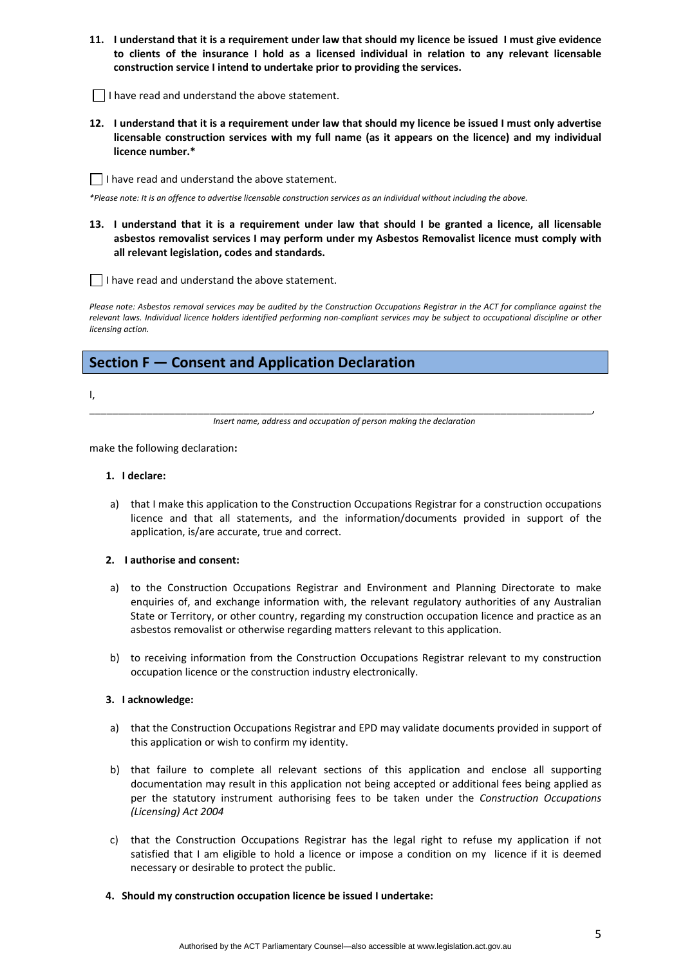- 11. I understand that it is a requirement under law that should my licence be issued I must give evidence **to clients of the insurance I hold as a licensed individual in relation to any relevant licensable construction service I intend to undertake prior to providing the services.**
- $\Box$  I have read and understand the above statement.
- 12. I understand that it is a requirement under law that should my licence be issued I must only advertise **licensable construction services with my full name (as it appears on the licence) and my individual licence number.\***
- I have read and understand the above statement.

\*Please note: It is an offence to advertise licensable construction services as an individual without including the above.

13. I understand that it is a requirement under law that should I be granted a licence, all licensable **asbestos removalist services I may perform under my Asbestos Removalist licence must comply with all relevant legislation, codes and standards.** 

I have read and understand the above statement.

Please note: Asbestos removal services may be audited by the Construction Occupations Registrar in the ACT for compliance against the relevant laws. Individual licence holders identified performing non-compliant services may be subject to occupational discipline or other *licensing action.*

### **Section F — Consent and Application Declaration**

I,

\_\_\_\_\_\_\_\_\_\_\_\_\_\_\_\_\_\_\_\_\_\_\_\_\_\_\_\_\_\_\_\_\_\_\_\_\_\_\_\_\_\_\_\_\_\_\_\_\_\_\_\_\_\_\_\_\_\_\_\_\_\_\_\_\_\_\_\_\_\_\_\_\_\_\_\_\_\_\_\_\_\_\_\_\_\_\_\_, *Insert name, address and occupation of person making the declaration*

make the following declaration**:**

### **1. I declare:**

a) that I make this application to the Construction Occupations Registrar for a construction occupations licence and that all statements, and the information/documents provided in support of the application, is/are accurate, true and correct.

### **2. I authorise and consent:**

- a) to the Construction Occupations Registrar and Environment and Planning Directorate to make enquiries of, and exchange information with, the relevant regulatory authorities of any Australian State or Territory, or other country, regarding my construction occupation licence and practice as an asbestos removalist or otherwise regarding matters relevant to this application.
- b) to receiving information from the Construction Occupations Registrar relevant to my construction occupation licence or the construction industry electronically.

### **3. I acknowledge:**

- a) that the Construction Occupations Registrar and EPD may validate documents provided in support of this application or wish to confirm my identity.
- b) that failure to complete all relevant sections of this application and enclose all supporting documentation may result in this application not being accepted or additional fees being applied as per the statutory instrument authorising fees to be taken under the *Construction Occupations (Licensing) Act 2004*
- c) that the Construction Occupations Registrar has the legal right to refuse my application if not satisfied that I am eligible to hold a licence or impose a condition on my licence if it is deemed necessary or desirable to protect the public.
- **4. Should my construction occupation licence be issued I undertake:**